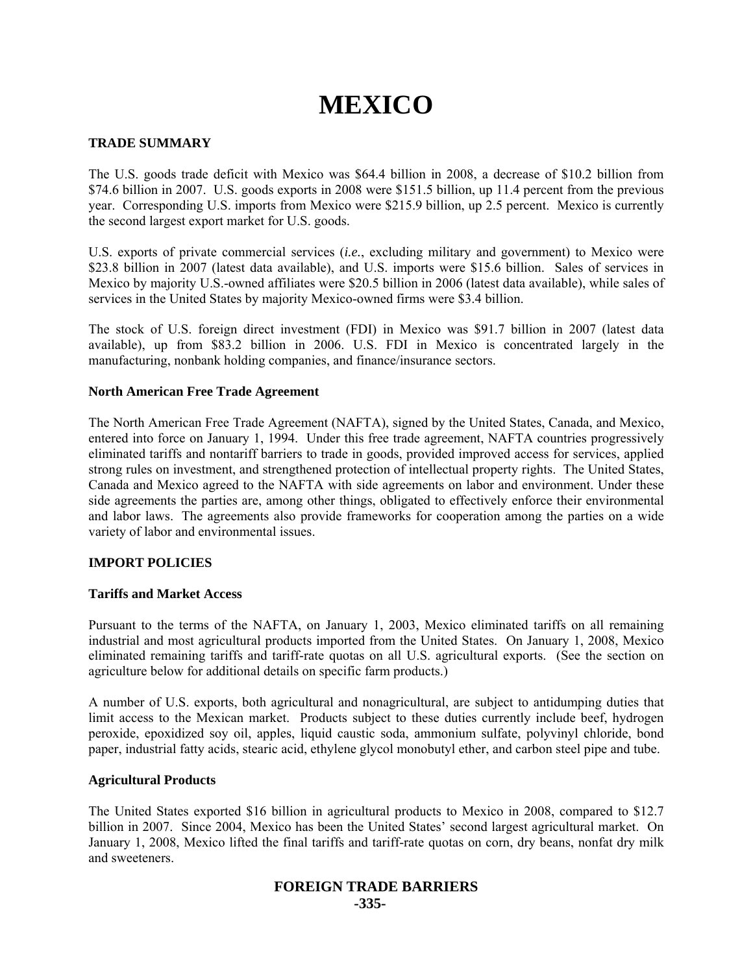# **MEXICO**

# **TRADE SUMMARY**

The U.S. goods trade deficit with Mexico was \$64.4 billion in 2008, a decrease of \$10.2 billion from \$74.6 billion in 2007. U.S. goods exports in 2008 were \$151.5 billion, up 11.4 percent from the previous year. Corresponding U.S. imports from Mexico were \$215.9 billion, up 2.5 percent. Mexico is currently the second largest export market for U.S. goods.

U.S. exports of private commercial services (*i.e.*, excluding military and government) to Mexico were \$23.8 billion in 2007 (latest data available), and U.S. imports were \$15.6 billion. Sales of services in Mexico by majority U.S.-owned affiliates were \$20.5 billion in 2006 (latest data available), while sales of services in the United States by majority Mexico-owned firms were \$3.4 billion.

The stock of U.S. foreign direct investment (FDI) in Mexico was \$91.7 billion in 2007 (latest data available), up from \$83.2 billion in 2006. U.S. FDI in Mexico is concentrated largely in the manufacturing, nonbank holding companies, and finance/insurance sectors.

# **North American Free Trade Agreement**

The North American Free Trade Agreement (NAFTA), signed by the United States, Canada, and Mexico, entered into force on January 1, 1994. Under this free trade agreement, NAFTA countries progressively eliminated tariffs and nontariff barriers to trade in goods, provided improved access for services, applied strong rules on investment, and strengthened protection of intellectual property rights. The United States, Canada and Mexico agreed to the NAFTA with side agreements on labor and environment. Under these side agreements the parties are, among other things, obligated to effectively enforce their environmental and labor laws. The agreements also provide frameworks for cooperation among the parties on a wide variety of labor and environmental issues.

# **IMPORT POLICIES**

# **Tariffs and Market Access**

Pursuant to the terms of the NAFTA, on January 1, 2003, Mexico eliminated tariffs on all remaining industrial and most agricultural products imported from the United States. On January 1, 2008, Mexico eliminated remaining tariffs and tariff-rate quotas on all U.S. agricultural exports. (See the section on agriculture below for additional details on specific farm products.)

A number of U.S. exports, both agricultural and nonagricultural, are subject to antidumping duties that limit access to the Mexican market. Products subject to these duties currently include beef, hydrogen peroxide, epoxidized soy oil, apples, liquid caustic soda, ammonium sulfate, polyvinyl chloride, bond paper, industrial fatty acids, stearic acid, ethylene glycol monobutyl ether, and carbon steel pipe and tube.

# **Agricultural Products**

The United States exported \$16 billion in agricultural products to Mexico in 2008, compared to \$12.7 billion in 2007. Since 2004, Mexico has been the United States' second largest agricultural market. On January 1, 2008, Mexico lifted the final tariffs and tariff-rate quotas on corn, dry beans, nonfat dry milk and sweeteners.

# **FOREIGN TRADE BARRIERS -335-**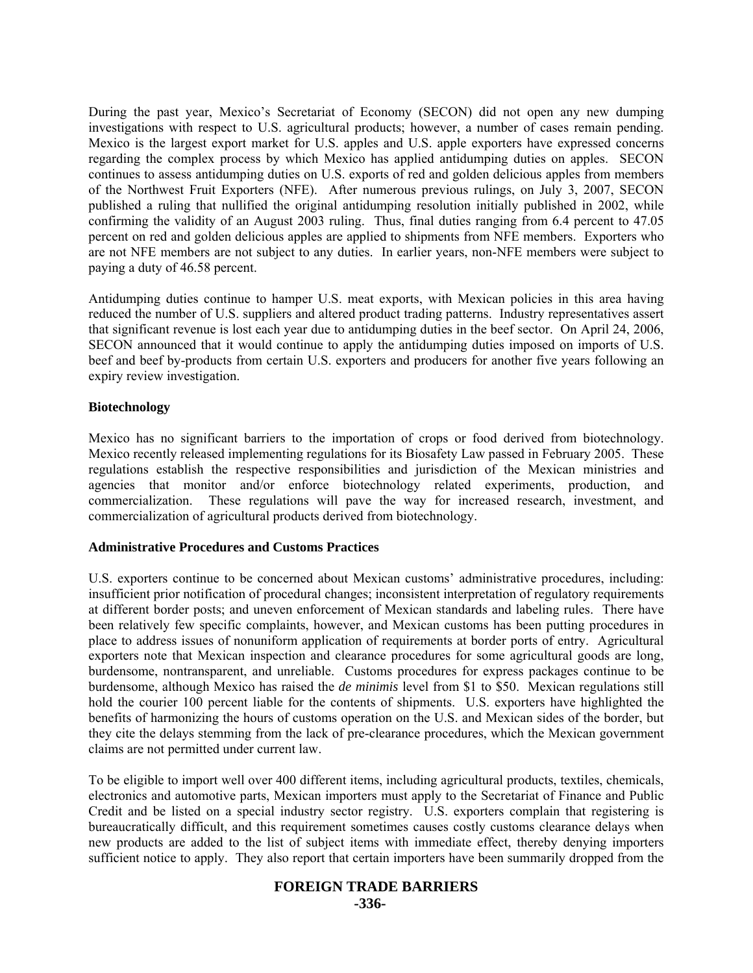During the past year, Mexico's Secretariat of Economy (SECON) did not open any new dumping investigations with respect to U.S. agricultural products; however, a number of cases remain pending. Mexico is the largest export market for U.S. apples and U.S. apple exporters have expressed concerns regarding the complex process by which Mexico has applied antidumping duties on apples. SECON continues to assess antidumping duties on U.S. exports of red and golden delicious apples from members of the Northwest Fruit Exporters (NFE). After numerous previous rulings, on July 3, 2007, SECON published a ruling that nullified the original antidumping resolution initially published in 2002, while confirming the validity of an August 2003 ruling. Thus, final duties ranging from 6.4 percent to 47.05 percent on red and golden delicious apples are applied to shipments from NFE members. Exporters who are not NFE members are not subject to any duties. In earlier years, non-NFE members were subject to paying a duty of 46.58 percent.

Antidumping duties continue to hamper U.S. meat exports, with Mexican policies in this area having reduced the number of U.S. suppliers and altered product trading patterns. Industry representatives assert that significant revenue is lost each year due to antidumping duties in the beef sector. On April 24, 2006, SECON announced that it would continue to apply the antidumping duties imposed on imports of U.S. beef and beef by-products from certain U.S. exporters and producers for another five years following an expiry review investigation.

# **Biotechnology**

Mexico has no significant barriers to the importation of crops or food derived from biotechnology. Mexico recently released implementing regulations for its Biosafety Law passed in February 2005. These regulations establish the respective responsibilities and jurisdiction of the Mexican ministries and agencies that monitor and/or enforce biotechnology related experiments, production, and commercialization. These regulations will pave the way for increased research, investment, and commercialization of agricultural products derived from biotechnology.

# **Administrative Procedures and Customs Practices**

U.S. exporters continue to be concerned about Mexican customs' administrative procedures, including: insufficient prior notification of procedural changes; inconsistent interpretation of regulatory requirements at different border posts; and uneven enforcement of Mexican standards and labeling rules. There have been relatively few specific complaints, however, and Mexican customs has been putting procedures in place to address issues of nonuniform application of requirements at border ports of entry. Agricultural exporters note that Mexican inspection and clearance procedures for some agricultural goods are long, burdensome, nontransparent, and unreliable. Customs procedures for express packages continue to be burdensome, although Mexico has raised the *de minimis* level from \$1 to \$50. Mexican regulations still hold the courier 100 percent liable for the contents of shipments. U.S. exporters have highlighted the benefits of harmonizing the hours of customs operation on the U.S. and Mexican sides of the border, but they cite the delays stemming from the lack of pre-clearance procedures, which the Mexican government claims are not permitted under current law.

To be eligible to import well over 400 different items, including agricultural products, textiles, chemicals, electronics and automotive parts, Mexican importers must apply to the Secretariat of Finance and Public Credit and be listed on a special industry sector registry. U.S. exporters complain that registering is bureaucratically difficult, and this requirement sometimes causes costly customs clearance delays when new products are added to the list of subject items with immediate effect, thereby denying importers sufficient notice to apply. They also report that certain importers have been summarily dropped from the

# **FOREIGN TRADE BARRIERS**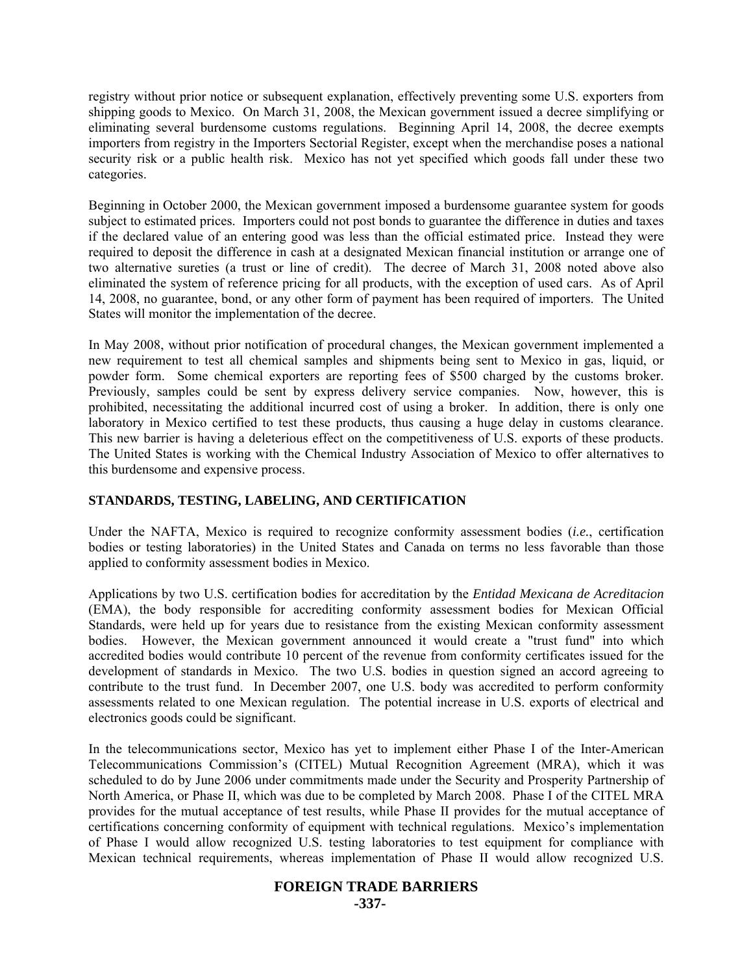registry without prior notice or subsequent explanation, effectively preventing some U.S. exporters from shipping goods to Mexico. On March 31, 2008, the Mexican government issued a decree simplifying or eliminating several burdensome customs regulations. Beginning April 14, 2008, the decree exempts importers from registry in the Importers Sectorial Register, except when the merchandise poses a national security risk or a public health risk. Mexico has not yet specified which goods fall under these two categories.

Beginning in October 2000, the Mexican government imposed a burdensome guarantee system for goods subject to estimated prices. Importers could not post bonds to guarantee the difference in duties and taxes if the declared value of an entering good was less than the official estimated price. Instead they were required to deposit the difference in cash at a designated Mexican financial institution or arrange one of two alternative sureties (a trust or line of credit). The decree of March 31, 2008 noted above also eliminated the system of reference pricing for all products, with the exception of used cars. As of April 14, 2008, no guarantee, bond, or any other form of payment has been required of importers. The United States will monitor the implementation of the decree.

In May 2008, without prior notification of procedural changes, the Mexican government implemented a new requirement to test all chemical samples and shipments being sent to Mexico in gas, liquid, or powder form. Some chemical exporters are reporting fees of \$500 charged by the customs broker. Previously, samples could be sent by express delivery service companies. Now, however, this is prohibited, necessitating the additional incurred cost of using a broker. In addition, there is only one laboratory in Mexico certified to test these products, thus causing a huge delay in customs clearance. This new barrier is having a deleterious effect on the competitiveness of U.S. exports of these products. The United States is working with the Chemical Industry Association of Mexico to offer alternatives to this burdensome and expensive process.

# **STANDARDS, TESTING, LABELING, AND CERTIFICATION**

Under the NAFTA, Mexico is required to recognize conformity assessment bodies (*i.e.*, certification bodies or testing laboratories) in the United States and Canada on terms no less favorable than those applied to conformity assessment bodies in Mexico.

Applications by two U.S. certification bodies for accreditation by the *Entidad Mexicana de Acreditacion*  (EMA), the body responsible for accrediting conformity assessment bodies for Mexican Official Standards, were held up for years due to resistance from the existing Mexican conformity assessment bodies. However, the Mexican government announced it would create a "trust fund" into which accredited bodies would contribute 10 percent of the revenue from conformity certificates issued for the development of standards in Mexico. The two U.S. bodies in question signed an accord agreeing to contribute to the trust fund. In December 2007, one U.S. body was accredited to perform conformity assessments related to one Mexican regulation. The potential increase in U.S. exports of electrical and electronics goods could be significant.

In the telecommunications sector, Mexico has yet to implement either Phase I of the Inter-American Telecommunications Commission's (CITEL) Mutual Recognition Agreement (MRA), which it was scheduled to do by June 2006 under commitments made under the Security and Prosperity Partnership of North America, or Phase II, which was due to be completed by March 2008. Phase I of the CITEL MRA provides for the mutual acceptance of test results, while Phase II provides for the mutual acceptance of certifications concerning conformity of equipment with technical regulations. Mexico's implementation of Phase I would allow recognized U.S. testing laboratories to test equipment for compliance with Mexican technical requirements, whereas implementation of Phase II would allow recognized U.S.

# **FOREIGN TRADE BARRIERS**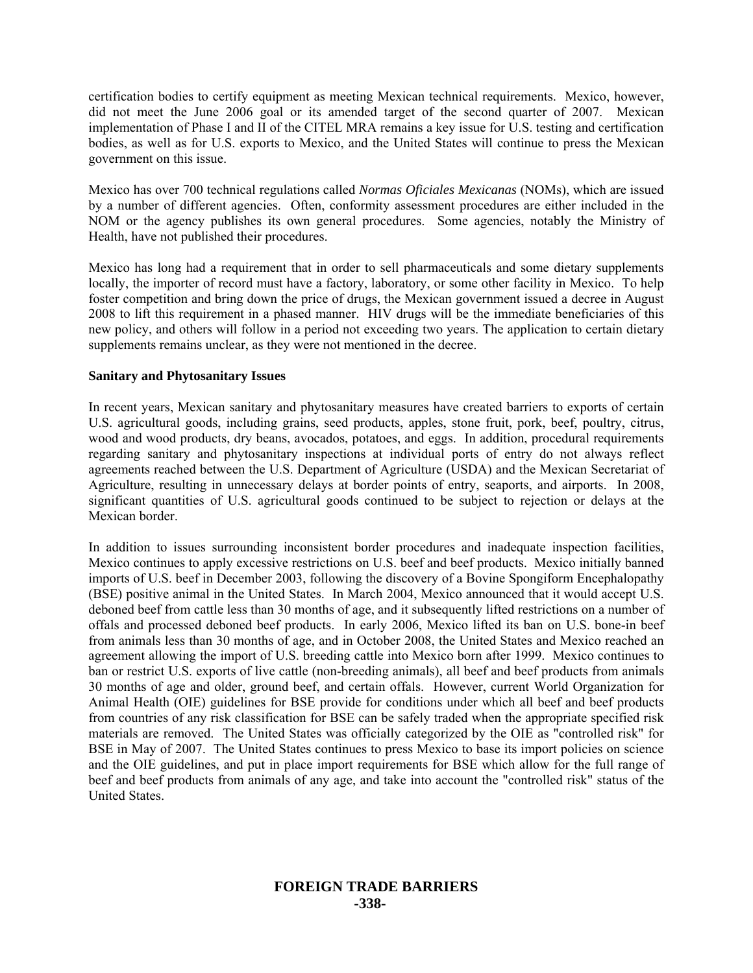certification bodies to certify equipment as meeting Mexican technical requirements. Mexico, however, did not meet the June 2006 goal or its amended target of the second quarter of 2007. Mexican implementation of Phase I and II of the CITEL MRA remains a key issue for U.S. testing and certification bodies, as well as for U.S. exports to Mexico, and the United States will continue to press the Mexican government on this issue.

Mexico has over 700 technical regulations called *Normas Oficiales Mexicanas* (NOMs), which are issued by a number of different agencies. Often, conformity assessment procedures are either included in the NOM or the agency publishes its own general procedures. Some agencies, notably the Ministry of Health, have not published their procedures.

Mexico has long had a requirement that in order to sell pharmaceuticals and some dietary supplements locally, the importer of record must have a factory, laboratory, or some other facility in Mexico. To help foster competition and bring down the price of drugs, the Mexican government issued a decree in August 2008 to lift this requirement in a phased manner. HIV drugs will be the immediate beneficiaries of this new policy, and others will follow in a period not exceeding two years. The application to certain dietary supplements remains unclear, as they were not mentioned in the decree.

#### **Sanitary and Phytosanitary Issues**

In recent years, Mexican sanitary and phytosanitary measures have created barriers to exports of certain U.S. agricultural goods, including grains, seed products, apples, stone fruit, pork, beef, poultry, citrus, wood and wood products, dry beans, avocados, potatoes, and eggs. In addition, procedural requirements regarding sanitary and phytosanitary inspections at individual ports of entry do not always reflect agreements reached between the U.S. Department of Agriculture (USDA) and the Mexican Secretariat of Agriculture, resulting in unnecessary delays at border points of entry, seaports, and airports. In 2008, significant quantities of U.S. agricultural goods continued to be subject to rejection or delays at the Mexican border.

In addition to issues surrounding inconsistent border procedures and inadequate inspection facilities, Mexico continues to apply excessive restrictions on U.S. beef and beef products. Mexico initially banned imports of U.S. beef in December 2003, following the discovery of a Bovine Spongiform Encephalopathy (BSE) positive animal in the United States. In March 2004, Mexico announced that it would accept U.S. deboned beef from cattle less than 30 months of age, and it subsequently lifted restrictions on a number of offals and processed deboned beef products. In early 2006, Mexico lifted its ban on U.S. bone-in beef from animals less than 30 months of age, and in October 2008, the United States and Mexico reached an agreement allowing the import of U.S. breeding cattle into Mexico born after 1999. Mexico continues to ban or restrict U.S. exports of live cattle (non-breeding animals), all beef and beef products from animals 30 months of age and older, ground beef, and certain offals. However, current World Organization for Animal Health (OIE) guidelines for BSE provide for conditions under which all beef and beef products from countries of any risk classification for BSE can be safely traded when the appropriate specified risk materials are removed. The United States was officially categorized by the OIE as "controlled risk" for BSE in May of 2007. The United States continues to press Mexico to base its import policies on science and the OIE guidelines, and put in place import requirements for BSE which allow for the full range of beef and beef products from animals of any age, and take into account the "controlled risk" status of the United States.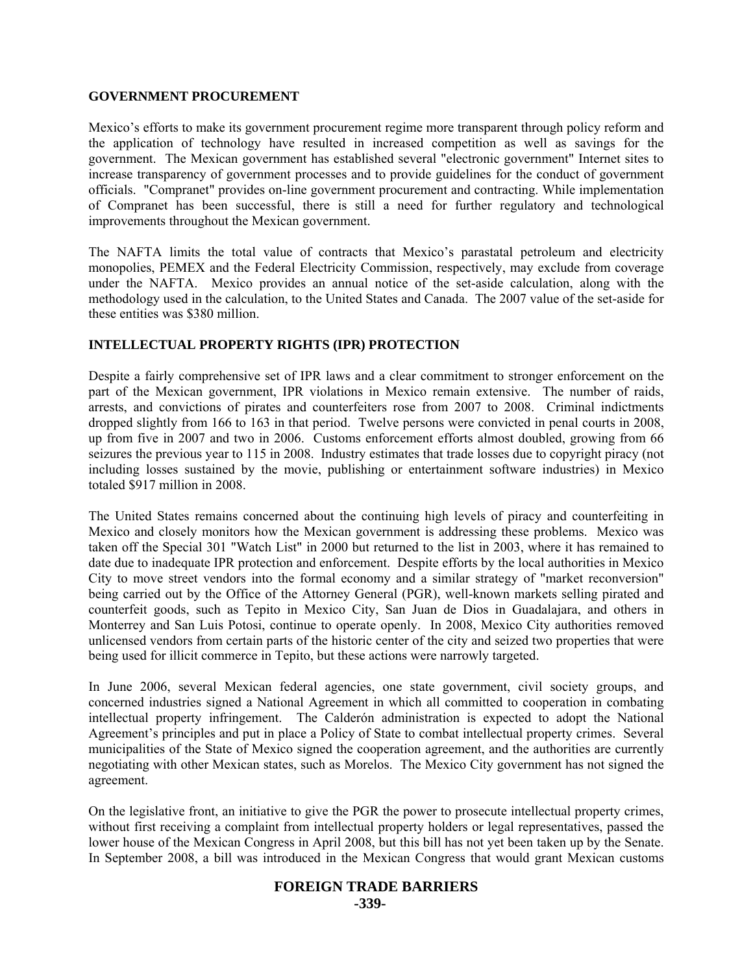#### **GOVERNMENT PROCUREMENT**

Mexico's efforts to make its government procurement regime more transparent through policy reform and the application of technology have resulted in increased competition as well as savings for the government. The Mexican government has established several "electronic government" Internet sites to increase transparency of government processes and to provide guidelines for the conduct of government officials. "Compranet" provides on-line government procurement and contracting. While implementation of Compranet has been successful, there is still a need for further regulatory and technological improvements throughout the Mexican government.

The NAFTA limits the total value of contracts that Mexico's parastatal petroleum and electricity monopolies, PEMEX and the Federal Electricity Commission, respectively, may exclude from coverage under the NAFTA. Mexico provides an annual notice of the set-aside calculation, along with the methodology used in the calculation, to the United States and Canada. The 2007 value of the set-aside for these entities was \$380 million.

# **INTELLECTUAL PROPERTY RIGHTS (IPR) PROTECTION**

Despite a fairly comprehensive set of IPR laws and a clear commitment to stronger enforcement on the part of the Mexican government, IPR violations in Mexico remain extensive. The number of raids, arrests, and convictions of pirates and counterfeiters rose from 2007 to 2008. Criminal indictments dropped slightly from 166 to 163 in that period. Twelve persons were convicted in penal courts in 2008, up from five in 2007 and two in 2006. Customs enforcement efforts almost doubled, growing from 66 seizures the previous year to 115 in 2008. Industry estimates that trade losses due to copyright piracy (not including losses sustained by the movie, publishing or entertainment software industries) in Mexico totaled \$917 million in 2008.

The United States remains concerned about the continuing high levels of piracy and counterfeiting in Mexico and closely monitors how the Mexican government is addressing these problems. Mexico was taken off the Special 301 "Watch List" in 2000 but returned to the list in 2003, where it has remained to date due to inadequate IPR protection and enforcement. Despite efforts by the local authorities in Mexico City to move street vendors into the formal economy and a similar strategy of "market reconversion" being carried out by the Office of the Attorney General (PGR), well-known markets selling pirated and counterfeit goods, such as Tepito in Mexico City, San Juan de Dios in Guadalajara, and others in Monterrey and San Luis Potosi, continue to operate openly. In 2008, Mexico City authorities removed unlicensed vendors from certain parts of the historic center of the city and seized two properties that were being used for illicit commerce in Tepito, but these actions were narrowly targeted.

In June 2006, several Mexican federal agencies, one state government, civil society groups, and concerned industries signed a National Agreement in which all committed to cooperation in combating intellectual property infringement. The Calderón administration is expected to adopt the National Agreement's principles and put in place a Policy of State to combat intellectual property crimes. Several municipalities of the State of Mexico signed the cooperation agreement, and the authorities are currently negotiating with other Mexican states, such as Morelos. The Mexico City government has not signed the agreement.

On the legislative front, an initiative to give the PGR the power to prosecute intellectual property crimes, without first receiving a complaint from intellectual property holders or legal representatives, passed the lower house of the Mexican Congress in April 2008, but this bill has not yet been taken up by the Senate. In September 2008, a bill was introduced in the Mexican Congress that would grant Mexican customs

#### **FOREIGN TRADE BARRIERS -339-**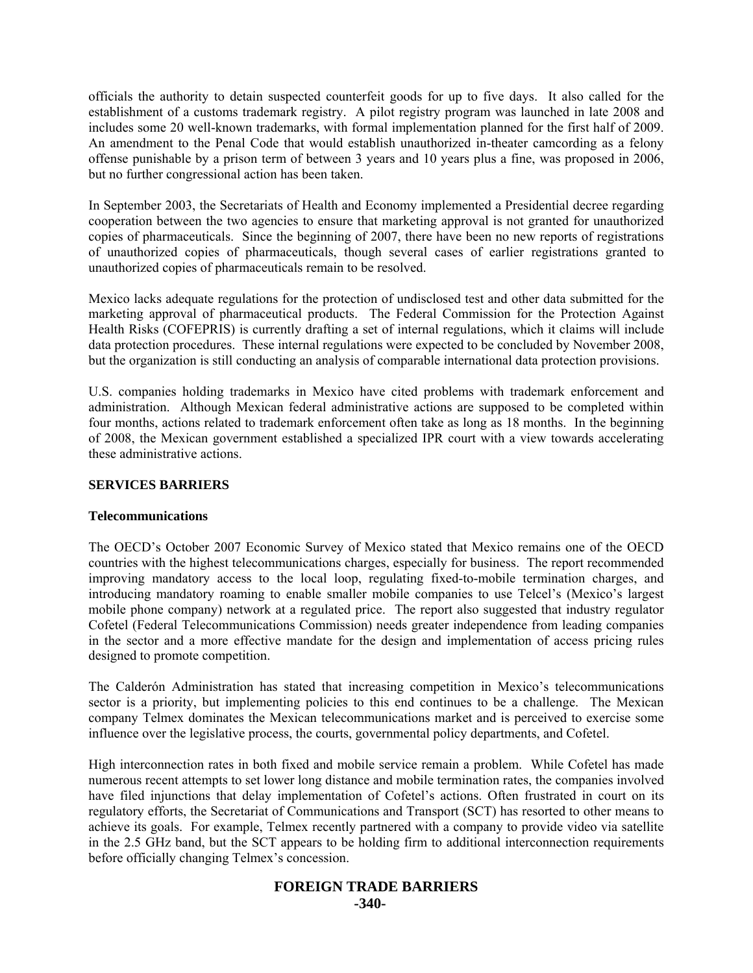officials the authority to detain suspected counterfeit goods for up to five days. It also called for the establishment of a customs trademark registry. A pilot registry program was launched in late 2008 and includes some 20 well-known trademarks, with formal implementation planned for the first half of 2009. An amendment to the Penal Code that would establish unauthorized in-theater camcording as a felony offense punishable by a prison term of between 3 years and 10 years plus a fine, was proposed in 2006, but no further congressional action has been taken.

In September 2003, the Secretariats of Health and Economy implemented a Presidential decree regarding cooperation between the two agencies to ensure that marketing approval is not granted for unauthorized copies of pharmaceuticals. Since the beginning of 2007, there have been no new reports of registrations of unauthorized copies of pharmaceuticals, though several cases of earlier registrations granted to unauthorized copies of pharmaceuticals remain to be resolved.

Mexico lacks adequate regulations for the protection of undisclosed test and other data submitted for the marketing approval of pharmaceutical products. The Federal Commission for the Protection Against Health Risks (COFEPRIS) is currently drafting a set of internal regulations, which it claims will include data protection procedures. These internal regulations were expected to be concluded by November 2008, but the organization is still conducting an analysis of comparable international data protection provisions.

U.S. companies holding trademarks in Mexico have cited problems with trademark enforcement and administration. Although Mexican federal administrative actions are supposed to be completed within four months, actions related to trademark enforcement often take as long as 18 months. In the beginning of 2008, the Mexican government established a specialized IPR court with a view towards accelerating these administrative actions.

# **SERVICES BARRIERS**

#### **Telecommunications**

The OECD's October 2007 Economic Survey of Mexico stated that Mexico remains one of the OECD countries with the highest telecommunications charges, especially for business. The report recommended improving mandatory access to the local loop, regulating fixed-to-mobile termination charges, and introducing mandatory roaming to enable smaller mobile companies to use Telcel's (Mexico's largest mobile phone company) network at a regulated price. The report also suggested that industry regulator Cofetel (Federal Telecommunications Commission) needs greater independence from leading companies in the sector and a more effective mandate for the design and implementation of access pricing rules designed to promote competition.

The Calderón Administration has stated that increasing competition in Mexico's telecommunications sector is a priority, but implementing policies to this end continues to be a challenge. The Mexican company Telmex dominates the Mexican telecommunications market and is perceived to exercise some influence over the legislative process, the courts, governmental policy departments, and Cofetel.

High interconnection rates in both fixed and mobile service remain a problem. While Cofetel has made numerous recent attempts to set lower long distance and mobile termination rates, the companies involved have filed injunctions that delay implementation of Cofetel's actions. Often frustrated in court on its regulatory efforts, the Secretariat of Communications and Transport (SCT) has resorted to other means to achieve its goals. For example, Telmex recently partnered with a company to provide video via satellite in the 2.5 GHz band, but the SCT appears to be holding firm to additional interconnection requirements before officially changing Telmex's concession.

# **FOREIGN TRADE BARRIERS -340-**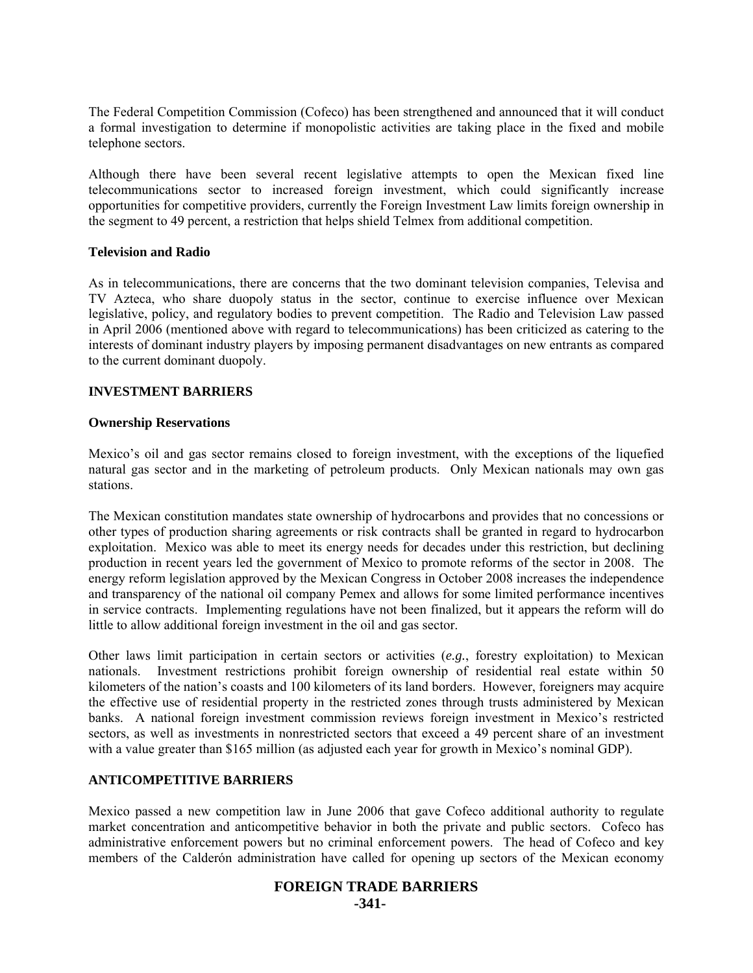The Federal Competition Commission (Cofeco) has been strengthened and announced that it will conduct a formal investigation to determine if monopolistic activities are taking place in the fixed and mobile telephone sectors.

Although there have been several recent legislative attempts to open the Mexican fixed line telecommunications sector to increased foreign investment, which could significantly increase opportunities for competitive providers, currently the Foreign Investment Law limits foreign ownership in the segment to 49 percent, a restriction that helps shield Telmex from additional competition.

#### **Television and Radio**

As in telecommunications, there are concerns that the two dominant television companies, Televisa and TV Azteca, who share duopoly status in the sector, continue to exercise influence over Mexican legislative, policy, and regulatory bodies to prevent competition. The Radio and Television Law passed in April 2006 (mentioned above with regard to telecommunications) has been criticized as catering to the interests of dominant industry players by imposing permanent disadvantages on new entrants as compared to the current dominant duopoly.

#### **INVESTMENT BARRIERS**

#### **Ownership Reservations**

Mexico's oil and gas sector remains closed to foreign investment, with the exceptions of the liquefied natural gas sector and in the marketing of petroleum products. Only Mexican nationals may own gas stations.

The Mexican constitution mandates state ownership of hydrocarbons and provides that no concessions or other types of production sharing agreements or risk contracts shall be granted in regard to hydrocarbon exploitation. Mexico was able to meet its energy needs for decades under this restriction, but declining production in recent years led the government of Mexico to promote reforms of the sector in 2008. The energy reform legislation approved by the Mexican Congress in October 2008 increases the independence and transparency of the national oil company Pemex and allows for some limited performance incentives in service contracts. Implementing regulations have not been finalized, but it appears the reform will do little to allow additional foreign investment in the oil and gas sector.

Other laws limit participation in certain sectors or activities (*e.g.*, forestry exploitation) to Mexican nationals. Investment restrictions prohibit foreign ownership of residential real estate within 50 kilometers of the nation's coasts and 100 kilometers of its land borders. However, foreigners may acquire the effective use of residential property in the restricted zones through trusts administered by Mexican banks. A national foreign investment commission reviews foreign investment in Mexico's restricted sectors, as well as investments in nonrestricted sectors that exceed a 49 percent share of an investment with a value greater than \$165 million (as adjusted each year for growth in Mexico's nominal GDP).

# **ANTICOMPETITIVE BARRIERS**

Mexico passed a new competition law in June 2006 that gave Cofeco additional authority to regulate market concentration and anticompetitive behavior in both the private and public sectors. Cofeco has administrative enforcement powers but no criminal enforcement powers. The head of Cofeco and key members of the Calderón administration have called for opening up sectors of the Mexican economy

# **FOREIGN TRADE BARRIERS -341-**